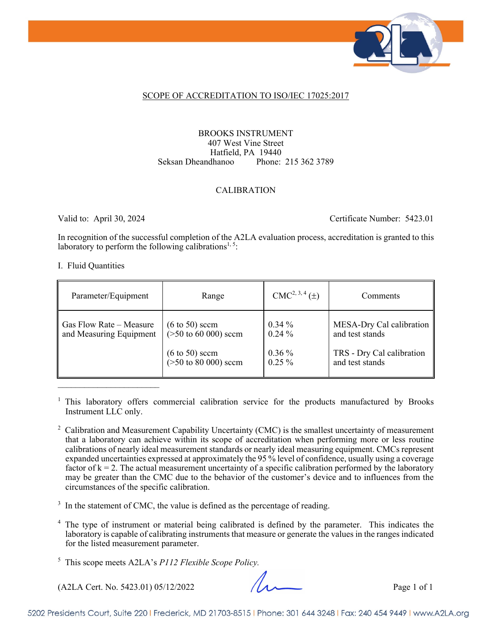

### SCOPE OF ACCREDITATION TO ISO/IEC 17025:2017

### BROOKS INSTRUMENT 407 West Vine Street Hatfield, PA 19440 Seksan Dheandhanoo Phone: 215 362 3789

### CALIBRATION

Valid to: April 30, 2024 Certificate Number: 5423.01

In recognition of the successful completion of the A2LA evaluation process, accreditation is granted to this laboratory to perform the following calibrations<sup>1, 5</sup>:

### I. Fluid Quantities

| Parameter/Equipment                                | Range                                                                                                        | $CMC2, 3, 4(\pm)$                            | Comments                                                                                    |
|----------------------------------------------------|--------------------------------------------------------------------------------------------------------------|----------------------------------------------|---------------------------------------------------------------------------------------------|
| Gas Flow Rate – Measure<br>and Measuring Equipment | $(6 \text{ to } 50)$ sccm<br>$($ >50 to 60 000) sccm<br>$(6 \text{ to } 50)$ sccm<br>( $>50$ to 80 000) sccm | $0.34\%$<br>$0.24\%$<br>$0.36\%$<br>$0.25\%$ | MESA-Dry Cal calibration<br>and test stands<br>TRS - Dry Cal calibration<br>and test stands |

<sup>1</sup> This laboratory offers commercial calibration service for the products manufactured by Brooks Instrument LLC only.

<sup>2</sup> Calibration and Measurement Capability Uncertainty (CMC) is the smallest uncertainty of measurement that a laboratory can achieve within its scope of accreditation when performing more or less routine calibrations of nearly ideal measurement standards or nearly ideal measuring equipment. CMCs represent expanded uncertainties expressed at approximately the 95 % level of confidence, usually using a coverage factor of  $k = 2$ . The actual measurement uncertainty of a specific calibration performed by the laboratory may be greater than the CMC due to the behavior of the customer's device and to influences from the circumstances of the specific calibration.

 $3 \text{ In the statement of CMC, the value is defined as the percentage of reading.}$ 

<sup>4</sup> The type of instrument or material being calibrated is defined by the parameter. This indicates the laboratory is capable of calibrating instruments that measure or generate the values in the ranges indicated for the listed measurement parameter.

(A2LA Cert. No. 5423.01) 05/12/2022 Page 1 of 1

<sup>5</sup> This scope meets A2LA's *P112 Flexible Scope Policy.*